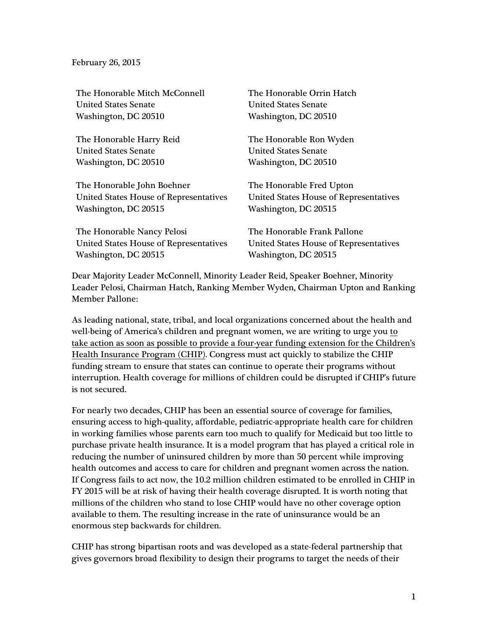February 26, 2015

| The Honorable Mitch McConnell<br><b>United States Senate</b> | The Honorable Orrin Hatch<br><b>United States Senate</b> |
|--------------------------------------------------------------|----------------------------------------------------------|
| Washington, DC 20510                                         | Washington, DC 20510                                     |
| The Honorable Harry Reid                                     | The Honorable Ron Wyden                                  |
| <b>United States Senate</b>                                  | <b>United States Senate</b>                              |
| Washington, DC 20510                                         | Washington, DC 20510                                     |
| The Honorable John Boehner                                   | The Honorable Fred Upton                                 |
| United States House of Representatives                       | <b>United States House of Representatives</b>            |
| Washington, DC 20515                                         | Washington, DC 20515                                     |
| The Honorable Nancy Pelosi                                   | The Honorable Frank Pallone                              |
| <b>United States House of Representatives</b>                | United States House of Representatives                   |
| Washington, DC 20515                                         | Washington, DC 20515                                     |

Dear Majority Leader McConnell, Minority Leader Reid, Speaker Boehner, Minority Leader Pelosi, Chairman Hatch, Ranking Member Wyden, Chairman Upton and Ranking Member Pallone:

As leading national, state, tribal, and local organizations concerned about the health and well-being of America's children and pregnant women, we are writing to urge you to take action as soon as possible to provide a four-year funding extension for the Children's Health Insurance Program (CHIP). Congress must act quickly to stabilize the CHIP funding stream to ensure that states can continue to operate their programs without interruption. Health coverage for millions of children could be disrupted if CHIP's future is not secured.

For nearly two decades, CHIP has been an essential source of coverage for families, ensuring access to high-quality, affordable, pediatric-appropriate health care for children in working families whose parents earn too much to qualify for Medicaid but too little to purchase private health insurance. It is a model program that has played a critical role in reducing the number of uninsured children by more than 50 percent while improving health outcomes and access to care for children and pregnant women across the nation. If Congress fails to act now, the 10.2 million children estimated to be enrolled in CHIP in FY 2015 will be at risk of having their health coverage disrupted. It is worth noting that millions of the children who stand to lose CHIP would have no other coverage option available to them. The resulting increase in the rate of uninsurance would be an enormous step backwards for children.

CHIP has strong bipartisan roots and was developed as a state-federal partnership that gives governors broad flexibility to design their programs to target the needs of their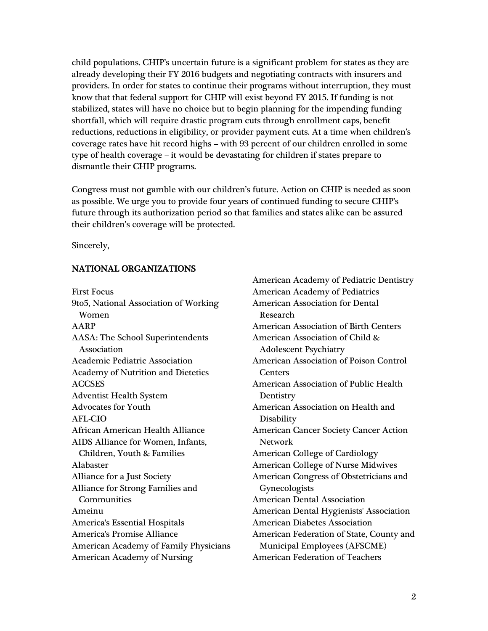child populations. CHIP's uncertain future is a significant problem for states as they are already developing their FY 2016 budgets and negotiating contracts with insurers and providers. In order for states to continue their programs without interruption, they must know that that federal support for CHIP will exist beyond FY 2015. If funding is not stabilized, states will have no choice but to begin planning for the impending funding shortfall, which will require drastic program cuts through enrollment caps, benefit reductions, reductions in eligibility, or provider payment cuts. At a time when children's coverage rates have hit record highs – with 93 percent of our children enrolled in some type of health coverage – it would be devastating for children if states prepare to dismantle their CHIP programs.

Congress must not gamble with our children's future. Action on CHIP is needed as soon as possible. We urge you to provide four years of continued funding to secure CHIP's future through its authorization period so that families and states alike can be assured their children's coverage will be protected.

Sincerely,

# NATIONAL ORGANIZATIONS

First Focus 9to5, National Association of Working Women AARP AASA: The School Superintendents Association Academic Pediatric Association Academy of Nutrition and Dietetics ACCSES Adventist Health System Advocates for Youth AFL-CIO African American Health Alliance AIDS Alliance for Women, Infants, Children, Youth & Families Alabaster Alliance for a Just Society Alliance for Strong Families and **Communities** Ameinu America's Essential Hospitals America's Promise Alliance American Academy of Family Physicians American Academy of Nursing

American Academy of Pediatric Dentistry American Academy of Pediatrics American Association for Dental Research American Association of Birth Centers American Association of Child & Adolescent Psychiatry American Association of Poison Control **Centers** American Association of Public Health **Dentistry** American Association on Health and Disability American Cancer Society Cancer Action Network American College of Cardiology American College of Nurse Midwives American Congress of Obstetricians and Gynecologists American Dental Association American Dental Hygienists' Association American Diabetes Association American Federation of State, County and Municipal Employees (AFSCME) American Federation of Teachers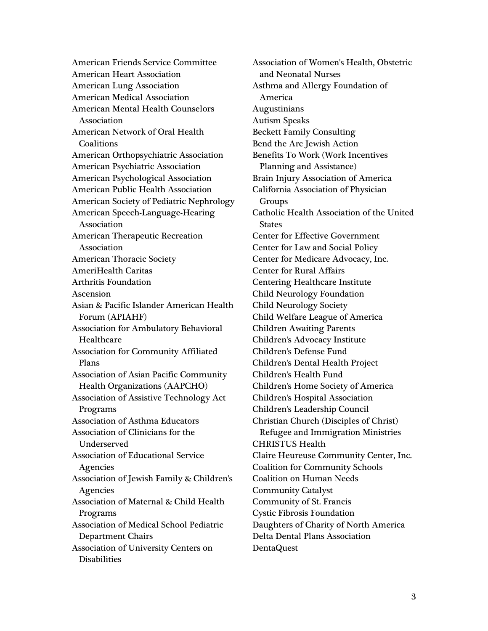American Friends Service Committee American Heart Association American Lung Association American Medical Association American Mental Health Counselors Association American Network of Oral Health **Coalitions** American Orthopsychiatric Association American Psychiatric Association American Psychological Association American Public Health Association American Society of Pediatric Nephrology American Speech-Language-Hearing Association American Therapeutic Recreation Association American Thoracic Society AmeriHealth Caritas Arthritis Foundation Ascension Asian & Pacific Islander American Health Forum (APIAHF) Association for Ambulatory Behavioral Healthcare Association for Community Affiliated Plans Association of Asian Pacific Community Health Organizations (AAPCHO) Association of Assistive Technology Act Programs Association of Asthma Educators Association of Clinicians for the Underserved Association of Educational Service Agencies Association of Jewish Family & Children's **Agencies** Association of Maternal & Child Health Programs Association of Medical School Pediatric Department Chairs Association of University Centers on **Disabilities** 

Association of Women's Health, Obstetric and Neonatal Nurses Asthma and Allergy Foundation of America Augustinians Autism Speaks Beckett Family Consulting Bend the Arc Jewish Action Benefits To Work (Work Incentives Planning and Assistance) Brain Injury Association of America California Association of Physician Groups Catholic Health Association of the United **States** Center for Effective Government Center for Law and Social Policy Center for Medicare Advocacy, Inc. Center for Rural Affairs Centering Healthcare Institute Child Neurology Foundation Child Neurology Society Child Welfare League of America Children Awaiting Parents Children's Advocacy Institute Children's Defense Fund Children's Dental Health Project Children's Health Fund Children's Home Society of America Children's Hospital Association Children's Leadership Council Christian Church (Disciples of Christ) Refugee and Immigration Ministries CHRISTUS Health Claire Heureuse Community Center, Inc. Coalition for Community Schools Coalition on Human Needs Community Catalyst Community of St. Francis Cystic Fibrosis Foundation Daughters of Charity of North America Delta Dental Plans Association DentaQuest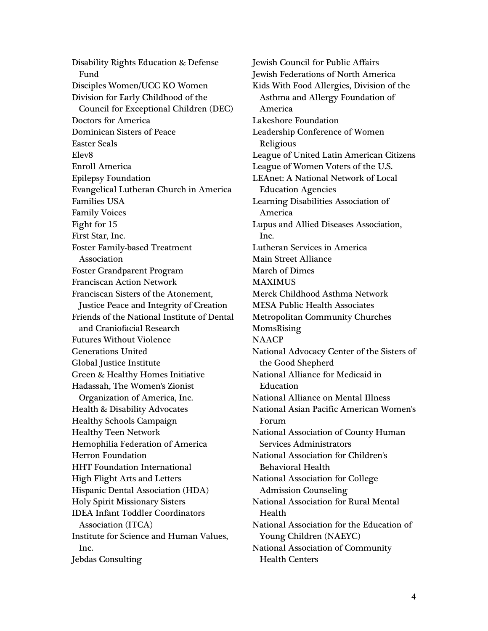Disability Rights Education & Defense Fund Disciples Women/UCC KO Women Division for Early Childhood of the Council for Exceptional Children (DEC) Doctors for America Dominican Sisters of Peace Easter Seals Elev8 Enroll America Epilepsy Foundation Evangelical Lutheran Church in America Families USA Family Voices Fight for 15 First Star, Inc. Foster Family-based Treatment Association Foster Grandparent Program Franciscan Action Network Franciscan Sisters of the Atonement, Justice Peace and Integrity of Creation Friends of the National Institute of Dental and Craniofacial Research Futures Without Violence Generations United Global Justice Institute Green & Healthy Homes Initiative Hadassah, The Women's Zionist Organization of America, Inc. Health & Disability Advocates Healthy Schools Campaign Healthy Teen Network Hemophilia Federation of America Herron Foundation HHT Foundation International High Flight Arts and Letters Hispanic Dental Association (HDA) Holy Spirit Missionary Sisters IDEA Infant Toddler Coordinators Association (ITCA) Institute for Science and Human Values, Inc. Jebdas Consulting

Jewish Council for Public Affairs Jewish Federations of North America Kids With Food Allergies, Division of the Asthma and Allergy Foundation of America Lakeshore Foundation Leadership Conference of Women Religious League of United Latin American Citizens League of Women Voters of the U.S. LEAnet: A National Network of Local Education Agencies Learning Disabilities Association of America Lupus and Allied Diseases Association, Inc. Lutheran Services in America Main Street Alliance March of Dimes MAXIMUS Merck Childhood Asthma Network MESA Public Health Associates Metropolitan Community Churches MomsRising **NAACP** National Advocacy Center of the Sisters of the Good Shepherd National Alliance for Medicaid in Education National Alliance on Mental Illness National Asian Pacific American Women's Forum National Association of County Human Services Administrators National Association for Children's Behavioral Health National Association for College Admission Counseling National Association for Rural Mental Health National Association for the Education of Young Children (NAEYC) National Association of Community Health Centers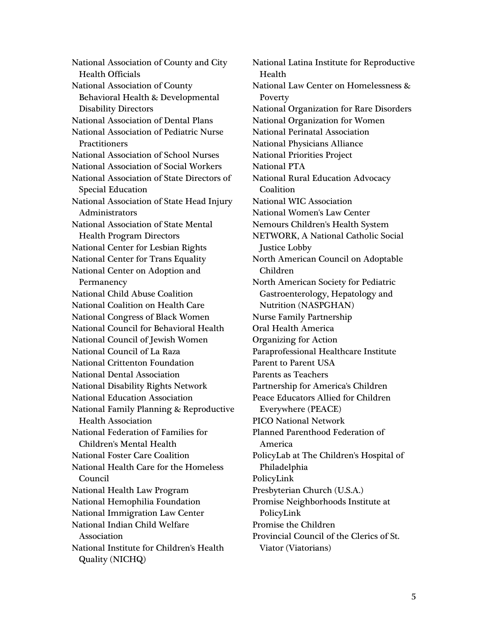National Association of County and City Health Officials National Association of County Behavioral Health & Developmental Disability Directors National Association of Dental Plans National Association of Pediatric Nurse **Practitioners** National Association of School Nurses National Association of Social Workers National Association of State Directors of Special Education National Association of State Head Injury Administrators National Association of State Mental Health Program Directors National Center for Lesbian Rights National Center for Trans Equality National Center on Adoption and Permanency National Child Abuse Coalition National Coalition on Health Care National Congress of Black Women National Council for Behavioral Health National Council of Jewish Women National Council of La Raza National Crittenton Foundation National Dental Association National Disability Rights Network National Education Association National Family Planning & Reproductive Health Association National Federation of Families for Children's Mental Health National Foster Care Coalition National Health Care for the Homeless Council National Health Law Program National Hemophilia Foundation National Immigration Law Center National Indian Child Welfare Association National Institute for Children's Health Quality (NICHQ)

National Latina Institute for Reproductive Health National Law Center on Homelessness & Poverty National Organization for Rare Disorders National Organization for Women National Perinatal Association National Physicians Alliance National Priorities Project National PTA National Rural Education Advocacy Coalition National WIC Association National Women's Law Center Nemours Children's Health System NETWORK, A National Catholic Social Justice Lobby North American Council on Adoptable Children North American Society for Pediatric Gastroenterology, Hepatology and Nutrition (NASPGHAN) Nurse Family Partnership Oral Health America Organizing for Action Paraprofessional Healthcare Institute Parent to Parent USA Parents as Teachers Partnership for America's Children Peace Educators Allied for Children Everywhere (PEACE) PICO National Network Planned Parenthood Federation of America PolicyLab at The Children's Hospital of Philadelphia PolicyLink Presbyterian Church (U.S.A.) Promise Neighborhoods Institute at PolicyLink Promise the Children Provincial Council of the Clerics of St. Viator (Viatorians)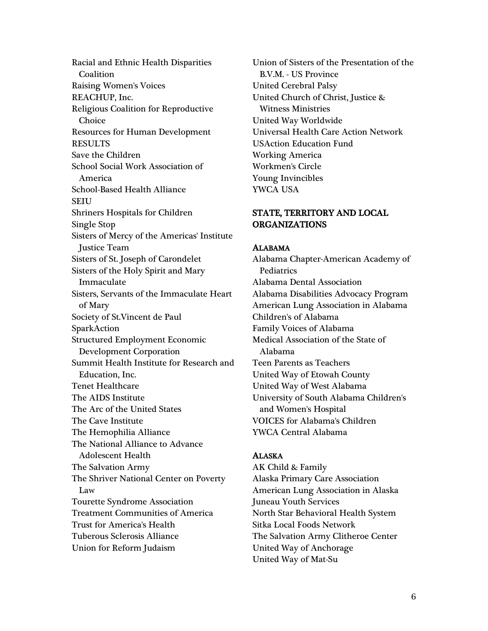Racial and Ethnic Health Disparities Coalition Raising Women's Voices REACHUP, Inc. Religious Coalition for Reproductive Choice Resources for Human Development RESULTS Save the Children School Social Work Association of America School-Based Health Alliance SEIU Shriners Hospitals for Children Single Stop Sisters of Mercy of the Americas' Institute Justice Team Sisters of St. Joseph of Carondelet Sisters of the Holy Spirit and Mary Immaculate Sisters, Servants of the Immaculate Heart of Mary Society of St.Vincent de Paul SparkAction Structured Employment Economic Development Corporation Summit Health Institute for Research and Education, Inc. Tenet Healthcare The AIDS Institute The Arc of the United States The Cave Institute The Hemophilia Alliance The National Alliance to Advance Adolescent Health The Salvation Army The Shriver National Center on Poverty Law Tourette Syndrome Association Treatment Communities of America Trust for America's Health Tuberous Sclerosis Alliance Union for Reform Judaism

Union of Sisters of the Presentation of the B.V.M. - US Province United Cerebral Palsy United Church of Christ, Justice & Witness Ministries United Way Worldwide Universal Health Care Action Network USAction Education Fund Working America Workmen's Circle Young Invincibles YWCA USA

# STATE, TERRITORY AND LOCAL ORGANIZATIONS

## ALABAMA

Alabama Chapter-American Academy of **Pediatrics** Alabama Dental Association Alabama Disabilities Advocacy Program American Lung Association in Alabama Children's of Alabama Family Voices of Alabama Medical Association of the State of Alabama Teen Parents as Teachers United Way of Etowah County United Way of West Alabama University of South Alabama Children's and Women's Hospital VOICES for Alabama's Children YWCA Central Alabama

## ALASKA

AK Child & Family Alaska Primary Care Association American Lung Association in Alaska Juneau Youth Services North Star Behavioral Health System Sitka Local Foods Network The Salvation Army Clitheroe Center United Way of Anchorage United Way of Mat-Su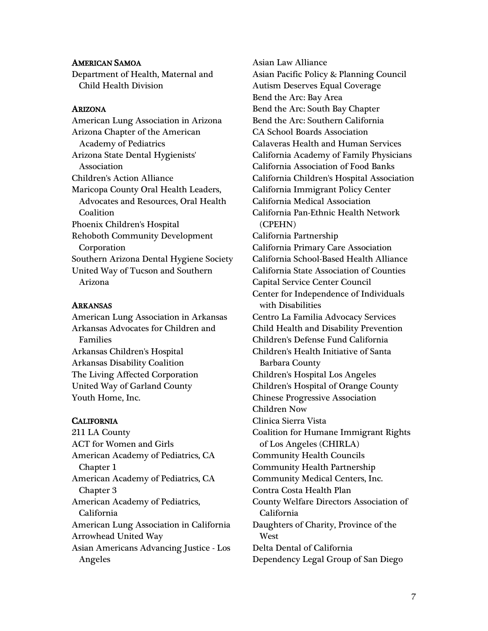## AMERICAN SAMOA

Department of Health, Maternal and Child Health Division

## ARIZONA

American Lung Association in Arizona Arizona Chapter of the American Academy of Pediatrics Arizona State Dental Hygienists' Association Children's Action Alliance Maricopa County Oral Health Leaders, Advocates and Resources, Oral Health **Coalition** Phoenix Children's Hospital Rehoboth Community Development Corporation Southern Arizona Dental Hygiene Society United Way of Tucson and Southern Arizona

## ARKANSAS

American Lung Association in Arkansas Arkansas Advocates for Children and Families Arkansas Children's Hospital Arkansas Disability Coalition The Living Affected Corporation United Way of Garland County Youth Home, Inc.

# **CALIFORNIA**

211 LA County ACT for Women and Girls American Academy of Pediatrics, CA Chapter 1 American Academy of Pediatrics, CA Chapter 3 American Academy of Pediatrics, California American Lung Association in California Arrowhead United Way Asian Americans Advancing Justice - Los Angeles

Asian Law Alliance Asian Pacific Policy & Planning Council Autism Deserves Equal Coverage Bend the Arc: Bay Area Bend the Arc: South Bay Chapter Bend the Arc: Southern California CA School Boards Association Calaveras Health and Human Services California Academy of Family Physicians California Association of Food Banks California Children's Hospital Association California Immigrant Policy Center California Medical Association California Pan-Ethnic Health Network (CPEHN) California Partnership California Primary Care Association California School-Based Health Alliance California State Association of Counties Capital Service Center Council Center for Independence of Individuals with Disabilities Centro La Familia Advocacy Services Child Health and Disability Prevention Children's Defense Fund California Children's Health Initiative of Santa Barbara County Children's Hospital Los Angeles Children's Hospital of Orange County Chinese Progressive Association Children Now Clinica Sierra Vista Coalition for Humane Immigrant Rights of Los Angeles (CHIRLA) Community Health Councils Community Health Partnership Community Medical Centers, Inc. Contra Costa Health Plan County Welfare Directors Association of California Daughters of Charity, Province of the **West** Delta Dental of California Dependency Legal Group of San Diego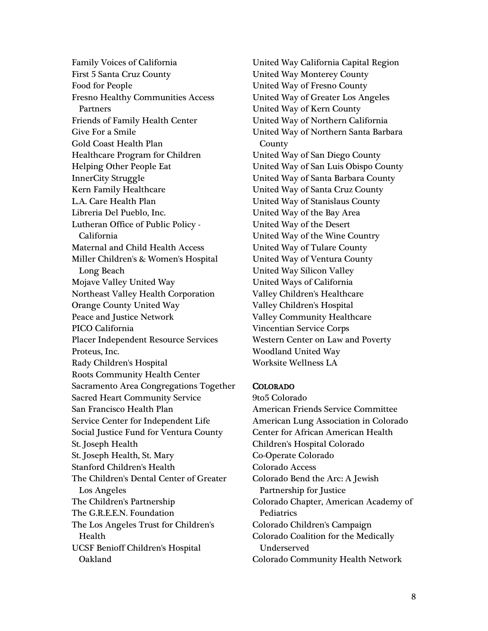Family Voices of California First 5 Santa Cruz County Food for People Fresno Healthy Communities Access Partners Friends of Family Health Center Give For a Smile Gold Coast Health Plan Healthcare Program for Children Helping Other People Eat InnerCity Struggle Kern Family Healthcare L.A. Care Health Plan Libreria Del Pueblo, Inc. Lutheran Office of Public Policy - California Maternal and Child Health Access Miller Children's & Women's Hospital Long Beach Mojave Valley United Way Northeast Valley Health Corporation Orange County United Way Peace and Justice Network PICO California Placer Independent Resource Services Proteus, Inc. Rady Children's Hospital Roots Community Health Center Sacramento Area Congregations Together Sacred Heart Community Service San Francisco Health Plan Service Center for Independent Life Social Justice Fund for Ventura County St. Joseph Health St. Joseph Health, St. Mary Stanford Children's Health The Children's Dental Center of Greater Los Angeles The Children's Partnership The G.R.E.E.N. Foundation The Los Angeles Trust for Children's Health UCSF Benioff Children's Hospital Oakland

United Way California Capital Region United Way Monterey County United Way of Fresno County United Way of Greater Los Angeles United Way of Kern County United Way of Northern California United Way of Northern Santa Barbara **County** United Way of San Diego County United Way of San Luis Obispo County United Way of Santa Barbara County United Way of Santa Cruz County United Way of Stanislaus County United Way of the Bay Area United Way of the Desert United Way of the Wine Country United Way of Tulare County United Way of Ventura County United Way Silicon Valley United Ways of California Valley Children's Healthcare Valley Children's Hospital Valley Community Healthcare Vincentian Service Corps Western Center on Law and Poverty Woodland United Way Worksite Wellness LA

## COLORADO

9to5 Colorado American Friends Service Committee American Lung Association in Colorado Center for African American Health Children's Hospital Colorado Co-Operate Colorado Colorado Access Colorado Bend the Arc: A Jewish Partnership for Justice Colorado Chapter, American Academy of Pediatrics Colorado Children's Campaign Colorado Coalition for the Medically Underserved Colorado Community Health Network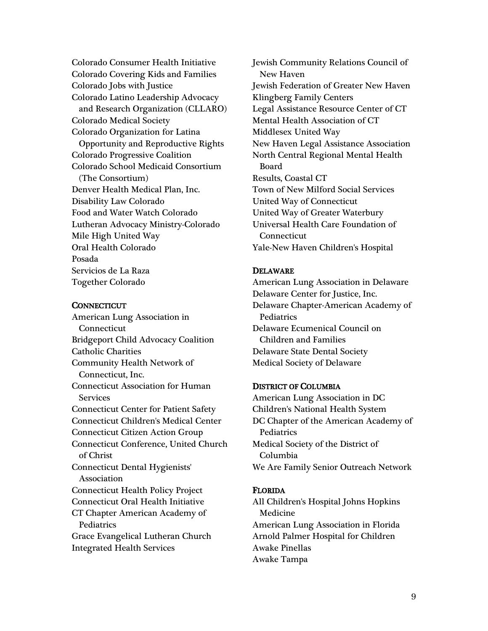Colorado Consumer Health Initiative Colorado Covering Kids and Families Colorado Jobs with Justice Colorado Latino Leadership Advocacy and Research Organization (CLLARO) Colorado Medical Society Colorado Organization for Latina Opportunity and Reproductive Rights Colorado Progressive Coalition Colorado School Medicaid Consortium (The Consortium) Denver Health Medical Plan, Inc. Disability Law Colorado Food and Water Watch Colorado Lutheran Advocacy Ministry-Colorado Mile High United Way Oral Health Colorado Posada Servicios de La Raza Together Colorado

### **CONNECTICUT**

American Lung Association in Connecticut Bridgeport Child Advocacy Coalition Catholic Charities Community Health Network of Connecticut, Inc. Connecticut Association for Human Services Connecticut Center for Patient Safety Connecticut Children's Medical Center Connecticut Citizen Action Group Connecticut Conference, United Church of Christ Connecticut Dental Hygienists' Association Connecticut Health Policy Project Connecticut Oral Health Initiative CT Chapter American Academy of **Pediatrics** Grace Evangelical Lutheran Church Integrated Health Services

Jewish Community Relations Council of New Haven Jewish Federation of Greater New Haven Klingberg Family Centers Legal Assistance Resource Center of CT Mental Health Association of CT Middlesex United Way New Haven Legal Assistance Association North Central Regional Mental Health Board Results, Coastal CT Town of New Milford Social Services United Way of Connecticut United Way of Greater Waterbury Universal Health Care Foundation of Connecticut Yale-New Haven Children's Hospital

### DELAWARE

American Lung Association in Delaware Delaware Center for Justice, Inc. Delaware Chapter-American Academy of Pediatrics Delaware Ecumenical Council on Children and Families Delaware State Dental Society Medical Society of Delaware

## DISTRICT OF COLUMBIA

American Lung Association in DC Children's National Health System DC Chapter of the American Academy of **Pediatrics** Medical Society of the District of Columbia We Are Family Senior Outreach Network

### FLORIDA

All Children's Hospital Johns Hopkins Medicine American Lung Association in Florida Arnold Palmer Hospital for Children Awake Pinellas Awake Tampa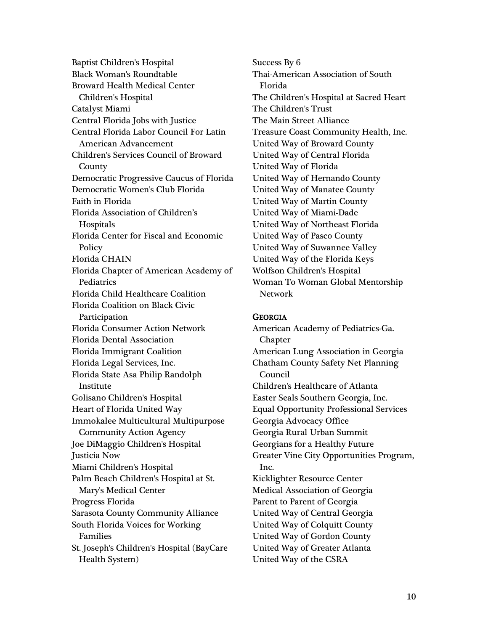Baptist Children's Hospital Black Woman's Roundtable Broward Health Medical Center Children's Hospital Catalyst Miami Central Florida Jobs with Justice Central Florida Labor Council For Latin American Advancement Children's Services Council of Broward County Democratic Progressive Caucus of Florida Democratic Women's Club Florida Faith in Florida Florida Association of Children's **Hospitals** Florida Center for Fiscal and Economic Policy Florida CHAIN Florida Chapter of American Academy of **Pediatrics** Florida Child Healthcare Coalition Florida Coalition on Black Civic Participation Florida Consumer Action Network Florida Dental Association Florida Immigrant Coalition Florida Legal Services, Inc. Florida State Asa Philip Randolph Institute Golisano Children's Hospital Heart of Florida United Way Immokalee Multicultural Multipurpose Community Action Agency Joe DiMaggio Children's Hospital Justicia Now Miami Children's Hospital Palm Beach Children's Hospital at St. Mary's Medical Center Progress Florida Sarasota County Community Alliance South Florida Voices for Working Families St. Joseph's Children's Hospital (BayCare Health System)

Success By 6 Thai-American Association of South Florida The Children's Hospital at Sacred Heart The Children's Trust The Main Street Alliance Treasure Coast Community Health, Inc. United Way of Broward County United Way of Central Florida United Way of Florida United Way of Hernando County United Way of Manatee County United Way of Martin County United Way of Miami-Dade United Way of Northeast Florida United Way of Pasco County United Way of Suwannee Valley United Way of the Florida Keys Wolfson Children's Hospital Woman To Woman Global Mentorship Network

### **GEORGIA**

American Academy of Pediatrics-Ga. Chapter American Lung Association in Georgia Chatham County Safety Net Planning Council Children's Healthcare of Atlanta Easter Seals Southern Georgia, Inc. Equal Opportunity Professional Services Georgia Advocacy Office Georgia Rural Urban Summit Georgians for a Healthy Future Greater Vine City Opportunities Program, Inc. Kicklighter Resource Center Medical Association of Georgia Parent to Parent of Georgia United Way of Central Georgia United Way of Colquitt County United Way of Gordon County United Way of Greater Atlanta United Way of the CSRA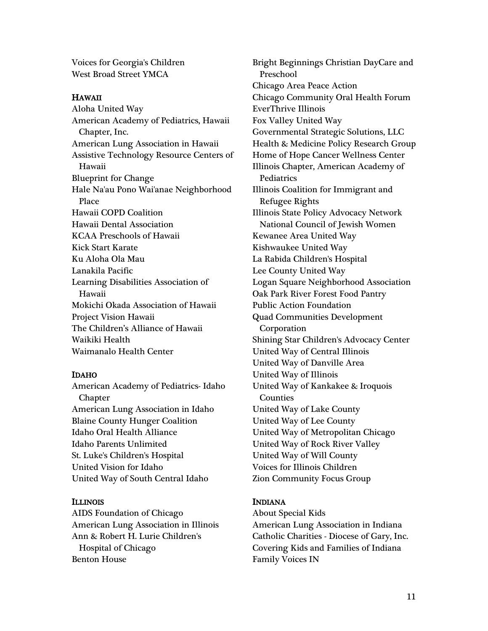Voices for Georgia's Children West Broad Street YMCA

# HAWAII

Aloha United Way American Academy of Pediatrics, Hawaii Chapter, Inc. American Lung Association in Hawaii Assistive Technology Resource Centers of Hawaii Blueprint for Change Hale Na'au Pono Wai'anae Neighborhood Place Hawaii COPD Coalition Hawaii Dental Association KCAA Preschools of Hawaii Kick Start Karate Ku Aloha Ola Mau Lanakila Pacific Learning Disabilities Association of Hawaii Mokichi Okada Association of Hawaii Project Vision Hawaii The Children's Alliance of Hawaii Waikiki Health Waimanalo Health Center

# IDAHO

American Academy of Pediatrics- Idaho Chapter American Lung Association in Idaho Blaine County Hunger Coalition Idaho Oral Health Alliance Idaho Parents Unlimited St. Luke's Children's Hospital United Vision for Idaho United Way of South Central Idaho

# ILLINOIS

AIDS Foundation of Chicago American Lung Association in Illinois Ann & Robert H. Lurie Children's Hospital of Chicago Benton House

Bright Beginnings Christian DayCare and Preschool Chicago Area Peace Action Chicago Community Oral Health Forum EverThrive Illinois Fox Valley United Way Governmental Strategic Solutions, LLC Health & Medicine Policy Research Group Home of Hope Cancer Wellness Center Illinois Chapter, American Academy of **Pediatrics** Illinois Coalition for Immigrant and Refugee Rights Illinois State Policy Advocacy Network National Council of Jewish Women Kewanee Area United Way Kishwaukee United Way La Rabida Children's Hospital Lee County United Way Logan Square Neighborhood Association Oak Park River Forest Food Pantry Public Action Foundation Quad Communities Development Corporation Shining Star Children's Advocacy Center United Way of Central Illinois United Way of Danville Area United Way of Illinois United Way of Kankakee & Iroquois Counties United Way of Lake County United Way of Lee County United Way of Metropolitan Chicago United Way of Rock River Valley United Way of Will County Voices for Illinois Children Zion Community Focus Group

# INDIANA

About Special Kids American Lung Association in Indiana Catholic Charities - Diocese of Gary, Inc. Covering Kids and Families of Indiana Family Voices IN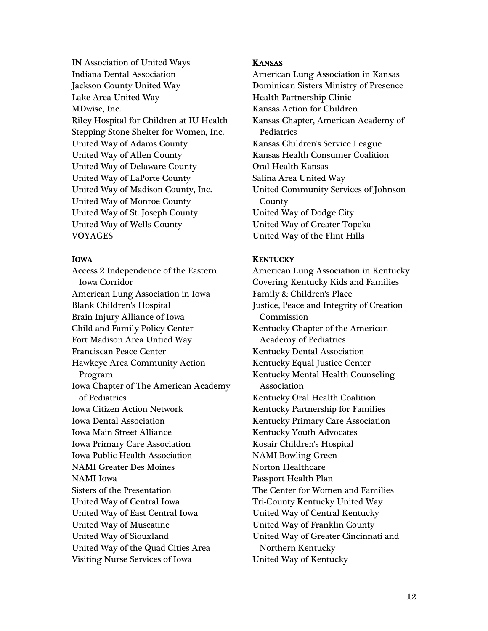IN Association of United Ways Indiana Dental Association Jackson County United Way Lake Area United Way MDwise, Inc. Riley Hospital for Children at IU Health Stepping Stone Shelter for Women, Inc. United Way of Adams County United Way of Allen County United Way of Delaware County United Way of LaPorte County United Way of Madison County, Inc. United Way of Monroe County United Way of St. Joseph County United Way of Wells County VOYAGES

# IOWA

Access 2 Independence of the Eastern Iowa Corridor American Lung Association in Iowa Blank Children's Hospital Brain Injury Alliance of Iowa Child and Family Policy Center Fort Madison Area Untied Way Franciscan Peace Center Hawkeye Area Community Action Program Iowa Chapter of The American Academy of Pediatrics Iowa Citizen Action Network Iowa Dental Association Iowa Main Street Alliance Iowa Primary Care Association Iowa Public Health Association NAMI Greater Des Moines NAMI Iowa Sisters of the Presentation United Way of Central Iowa United Way of East Central Iowa United Way of Muscatine United Way of Siouxland United Way of the Quad Cities Area Visiting Nurse Services of Iowa

## KANSAS

American Lung Association in Kansas Dominican Sisters Ministry of Presence Health Partnership Clinic Kansas Action for Children Kansas Chapter, American Academy of **Pediatrics** Kansas Children's Service League Kansas Health Consumer Coalition Oral Health Kansas Salina Area United Way United Community Services of Johnson County United Way of Dodge City United Way of Greater Topeka United Way of the Flint Hills

# **KENTUCKY**

American Lung Association in Kentucky Covering Kentucky Kids and Families Family & Children's Place Justice, Peace and Integrity of Creation Commission Kentucky Chapter of the American Academy of Pediatrics Kentucky Dental Association Kentucky Equal Justice Center Kentucky Mental Health Counseling Association Kentucky Oral Health Coalition Kentucky Partnership for Families Kentucky Primary Care Association Kentucky Youth Advocates Kosair Children's Hospital NAMI Bowling Green Norton Healthcare Passport Health Plan The Center for Women and Families Tri-County Kentucky United Way United Way of Central Kentucky United Way of Franklin County United Way of Greater Cincinnati and Northern Kentucky United Way of Kentucky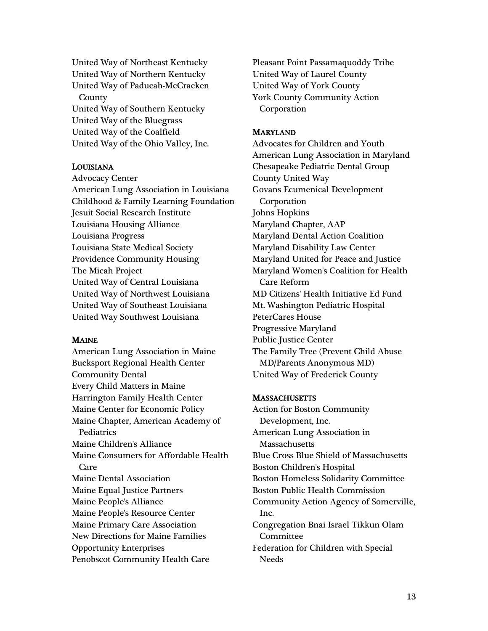United Way of Northeast Kentucky United Way of Northern Kentucky United Way of Paducah-McCracken **County** United Way of Southern Kentucky United Way of the Bluegrass United Way of the Coalfield United Way of the Ohio Valley, Inc.

## LOUISIANA

Advocacy Center American Lung Association in Louisiana Childhood & Family Learning Foundation Jesuit Social Research Institute Louisiana Housing Alliance Louisiana Progress Louisiana State Medical Society Providence Community Housing The Micah Project United Way of Central Louisiana United Way of Northwest Louisiana United Way of Southeast Louisiana United Way Southwest Louisiana

## MAINE

American Lung Association in Maine Bucksport Regional Health Center Community Dental Every Child Matters in Maine Harrington Family Health Center Maine Center for Economic Policy Maine Chapter, American Academy of **Pediatrics** Maine Children's Alliance Maine Consumers for Affordable Health Care Maine Dental Association Maine Equal Justice Partners Maine People's Alliance Maine People's Resource Center Maine Primary Care Association New Directions for Maine Families Opportunity Enterprises Penobscot Community Health Care

Pleasant Point Passamaquoddy Tribe United Way of Laurel County United Way of York County York County Community Action Corporation

#### MARYLAND

Advocates for Children and Youth American Lung Association in Maryland Chesapeake Pediatric Dental Group County United Way Govans Ecumenical Development Corporation Johns Hopkins Maryland Chapter, AAP Maryland Dental Action Coalition Maryland Disability Law Center Maryland United for Peace and Justice Maryland Women's Coalition for Health Care Reform MD Citizens' Health Initiative Ed Fund Mt. Washington Pediatric Hospital PeterCares House Progressive Maryland Public Justice Center The Family Tree (Prevent Child Abuse MD/Parents Anonymous MD) United Way of Frederick County

#### **MASSACHUSETTS**

Action for Boston Community Development, Inc. American Lung Association in **Massachusetts** Blue Cross Blue Shield of Massachusetts Boston Children's Hospital Boston Homeless Solidarity Committee Boston Public Health Commission Community Action Agency of Somerville, Inc. Congregation Bnai Israel Tikkun Olam Committee Federation for Children with Special Needs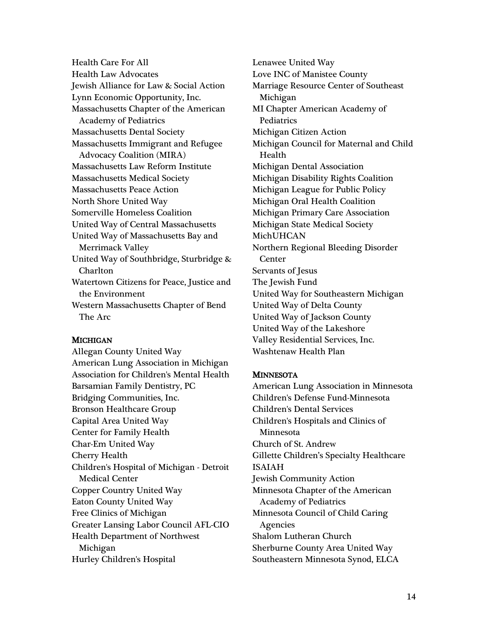Health Care For All Health Law Advocates Jewish Alliance for Law & Social Action Lynn Economic Opportunity, Inc. Massachusetts Chapter of the American Academy of Pediatrics Massachusetts Dental Society Massachusetts Immigrant and Refugee Advocacy Coalition (MIRA) Massachusetts Law Reform Institute Massachusetts Medical Society Massachusetts Peace Action North Shore United Way Somerville Homeless Coalition United Way of Central Massachusetts United Way of Massachusetts Bay and Merrimack Valley United Way of Southbridge, Sturbridge & Charlton Watertown Citizens for Peace, Justice and the Environment Western Massachusetts Chapter of Bend The Arc

# **MICHIGAN**

Allegan County United Way American Lung Association in Michigan Association for Children's Mental Health Barsamian Family Dentistry, PC Bridging Communities, Inc. Bronson Healthcare Group Capital Area United Way Center for Family Health Char-Em United Way Cherry Health Children's Hospital of Michigan - Detroit Medical Center Copper Country United Way Eaton County United Way Free Clinics of Michigan Greater Lansing Labor Council AFL-CIO Health Department of Northwest Michigan Hurley Children's Hospital

Lenawee United Way Love INC of Manistee County Marriage Resource Center of Southeast Michigan MI Chapter American Academy of **Pediatrics** Michigan Citizen Action Michigan Council for Maternal and Child Health Michigan Dental Association Michigan Disability Rights Coalition Michigan League for Public Policy Michigan Oral Health Coalition Michigan Primary Care Association Michigan State Medical Society MichUHCAN Northern Regional Bleeding Disorder **Center** Servants of Jesus The Jewish Fund United Way for Southeastern Michigan United Way of Delta County United Way of Jackson County United Way of the Lakeshore Valley Residential Services, Inc. Washtenaw Health Plan

## **MINNESOTA**

American Lung Association in Minnesota Children's Defense Fund-Minnesota Children's Dental Services Children's Hospitals and Clinics of Minnesota Church of St. Andrew Gillette Children's Specialty Healthcare ISAIAH Jewish Community Action Minnesota Chapter of the American Academy of Pediatrics Minnesota Council of Child Caring Agencies Shalom Lutheran Church Sherburne County Area United Way Southeastern Minnesota Synod, ELCA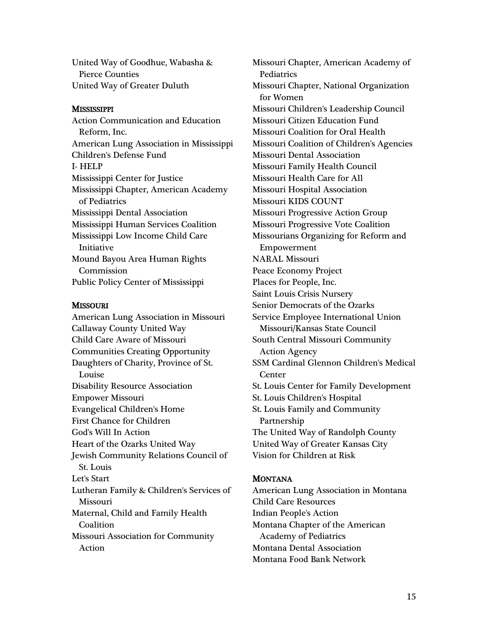United Way of Goodhue, Wabasha & Pierce Counties United Way of Greater Duluth

## **MISSISSIPPI**

Action Communication and Education Reform, Inc. American Lung Association in Mississippi Children's Defense Fund I- HELP Mississippi Center for Justice Mississippi Chapter, American Academy of Pediatrics Mississippi Dental Association Mississippi Human Services Coalition Mississippi Low Income Child Care Initiative Mound Bayou Area Human Rights Commission Public Policy Center of Mississippi

## **MISSOURI**

American Lung Association in Missouri Callaway County United Way Child Care Aware of Missouri Communities Creating Opportunity Daughters of Charity, Province of St. Louise Disability Resource Association Empower Missouri Evangelical Children's Home First Chance for Children God's Will In Action Heart of the Ozarks United Way Jewish Community Relations Council of St. Louis Let's Start Lutheran Family & Children's Services of Missouri Maternal, Child and Family Health Coalition Missouri Association for Community Action

Missouri Chapter, American Academy of **Pediatrics** Missouri Chapter, National Organization for Women Missouri Children's Leadership Council Missouri Citizen Education Fund Missouri Coalition for Oral Health Missouri Coalition of Children's Agencies Missouri Dental Association Missouri Family Health Council Missouri Health Care for All Missouri Hospital Association Missouri KIDS COUNT Missouri Progressive Action Group Missouri Progressive Vote Coalition Missourians Organizing for Reform and Empowerment NARAL Missouri Peace Economy Project Places for People, Inc. Saint Louis Crisis Nursery Senior Democrats of the Ozarks Service Employee International Union Missouri/Kansas State Council South Central Missouri Community Action Agency SSM Cardinal Glennon Children's Medical **Center** St. Louis Center for Family Development St. Louis Children's Hospital St. Louis Family and Community Partnership The United Way of Randolph County United Way of Greater Kansas City Vision for Children at Risk

## **MONTANA**

American Lung Association in Montana Child Care Resources Indian People's Action Montana Chapter of the American Academy of Pediatrics Montana Dental Association Montana Food Bank Network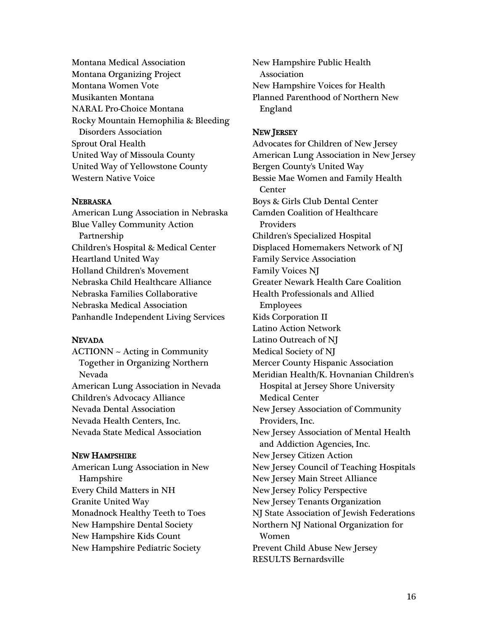Montana Medical Association Montana Organizing Project Montana Women Vote Musikanten Montana NARAL Pro-Choice Montana Rocky Mountain Hemophilia & Bleeding Disorders Association Sprout Oral Health United Way of Missoula County United Way of Yellowstone County Western Native Voice

### NEBRASKA

American Lung Association in Nebraska Blue Valley Community Action Partnership Children's Hospital & Medical Center Heartland United Way Holland Children's Movement Nebraska Child Healthcare Alliance Nebraska Families Collaborative Nebraska Medical Association Panhandle Independent Living Services

## NEVADA

ACTIONN ~ Acting in Community Together in Organizing Northern Nevada American Lung Association in Nevada Children's Advocacy Alliance Nevada Dental Association Nevada Health Centers, Inc. Nevada State Medical Association

## NEW HAMPSHIRE

American Lung Association in New Hampshire Every Child Matters in NH Granite United Way Monadnock Healthy Teeth to Toes New Hampshire Dental Society New Hampshire Kids Count New Hampshire Pediatric Society

New Hampshire Public Health Association New Hampshire Voices for Health Planned Parenthood of Northern New England

## NEW JERSEY

Advocates for Children of New Jersey American Lung Association in New Jersey Bergen County's United Way Bessie Mae Women and Family Health **Center** Boys & Girls Club Dental Center Camden Coalition of Healthcare Providers Children's Specialized Hospital Displaced Homemakers Network of NJ Family Service Association Family Voices NJ Greater Newark Health Care Coalition Health Professionals and Allied Employees Kids Corporation II Latino Action Network Latino Outreach of NJ Medical Society of NJ Mercer County Hispanic Association Meridian Health/K. Hovnanian Children's Hospital at Jersey Shore University Medical Center New Jersey Association of Community Providers, Inc. New Jersey Association of Mental Health and Addiction Agencies, Inc. New Jersey Citizen Action New Jersey Council of Teaching Hospitals New Jersey Main Street Alliance New Jersey Policy Perspective New Jersey Tenants Organization NJ State Association of Jewish Federations Northern NJ National Organization for Women Prevent Child Abuse New Jersey RESULTS Bernardsville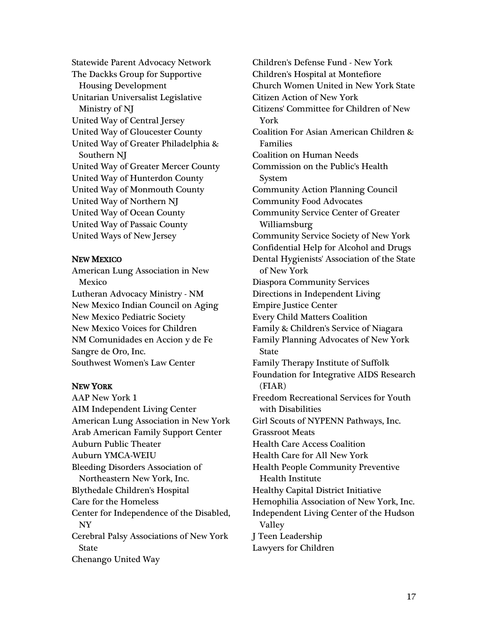Statewide Parent Advocacy Network The Dackks Group for Supportive Housing Development Unitarian Universalist Legislative Ministry of NJ United Way of Central Jersey United Way of Gloucester County United Way of Greater Philadelphia & Southern NJ United Way of Greater Mercer County United Way of Hunterdon County United Way of Monmouth County United Way of Northern NJ United Way of Ocean County United Way of Passaic County United Ways of New Jersey

## NEW MEXICO

American Lung Association in New Mexico Lutheran Advocacy Ministry - NM New Mexico Indian Council on Aging New Mexico Pediatric Society New Mexico Voices for Children NM Comunidades en Accion y de Fe Sangre de Oro, Inc. Southwest Women's Law Center

# NEW YORK

AAP New York 1 AIM Independent Living Center American Lung Association in New York Arab American Family Support Center Auburn Public Theater Auburn YMCA-WEIU Bleeding Disorders Association of Northeastern New York, Inc. Blythedale Children's Hospital Care for the Homeless Center for Independence of the Disabled, NY Cerebral Palsy Associations of New York State Chenango United Way

Children's Defense Fund - New York Children's Hospital at Montefiore Church Women United in New York State Citizen Action of New York Citizens' Committee for Children of New York Coalition For Asian American Children & Families Coalition on Human Needs Commission on the Public's Health System Community Action Planning Council Community Food Advocates Community Service Center of Greater Williamsburg Community Service Society of New York Confidential Help for Alcohol and Drugs Dental Hygienists' Association of the State of New York Diaspora Community Services Directions in Independent Living Empire Justice Center Every Child Matters Coalition Family & Children's Service of Niagara Family Planning Advocates of New York State Family Therapy Institute of Suffolk Foundation for Integrative AIDS Research (FIAR) Freedom Recreational Services for Youth with Disabilities Girl Scouts of NYPENN Pathways, Inc. Grassroot Meats Health Care Access Coalition Health Care for All New York Health People Community Preventive Health Institute Healthy Capital District Initiative Hemophilia Association of New York, Inc. Independent Living Center of the Hudson Valley J Teen Leadership Lawyers for Children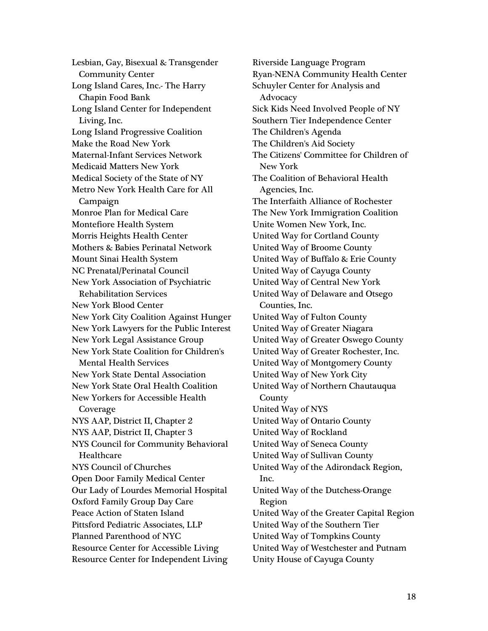Lesbian, Gay, Bisexual & Transgender Community Center Long Island Cares, Inc.- The Harry Chapin Food Bank Long Island Center for Independent Living, Inc. Long Island Progressive Coalition Make the Road New York Maternal-Infant Services Network Medicaid Matters New York Medical Society of the State of NY Metro New York Health Care for All Campaign Monroe Plan for Medical Care Montefiore Health System Morris Heights Health Center Mothers & Babies Perinatal Network Mount Sinai Health System NC Prenatal/Perinatal Council New York Association of Psychiatric Rehabilitation Services New York Blood Center New York City Coalition Against Hunger New York Lawyers for the Public Interest New York Legal Assistance Group New York State Coalition for Children's Mental Health Services New York State Dental Association New York State Oral Health Coalition New Yorkers for Accessible Health Coverage NYS AAP, District II, Chapter 2 NYS AAP, District II, Chapter 3 NYS Council for Community Behavioral Healthcare NYS Council of Churches Open Door Family Medical Center Our Lady of Lourdes Memorial Hospital Oxford Family Group Day Care Peace Action of Staten Island Pittsford Pediatric Associates, LLP Planned Parenthood of NYC Resource Center for Accessible Living Resource Center for Independent Living

Riverside Language Program Ryan-NENA Community Health Center Schuyler Center for Analysis and Advocacy Sick Kids Need Involved People of NY Southern Tier Independence Center The Children's Agenda The Children's Aid Society The Citizens' Committee for Children of New York The Coalition of Behavioral Health Agencies, Inc. The Interfaith Alliance of Rochester The New York Immigration Coalition Unite Women New York, Inc. United Way for Cortland County United Way of Broome County United Way of Buffalo & Erie County United Way of Cayuga County United Way of Central New York United Way of Delaware and Otsego Counties, Inc. United Way of Fulton County United Way of Greater Niagara United Way of Greater Oswego County United Way of Greater Rochester, Inc. United Way of Montgomery County United Way of New York City United Way of Northern Chautauqua County United Way of NYS United Way of Ontario County United Way of Rockland United Way of Seneca County United Way of Sullivan County United Way of the Adirondack Region, Inc. United Way of the Dutchess-Orange Region United Way of the Greater Capital Region United Way of the Southern Tier United Way of Tompkins County United Way of Westchester and Putnam Unity House of Cayuga County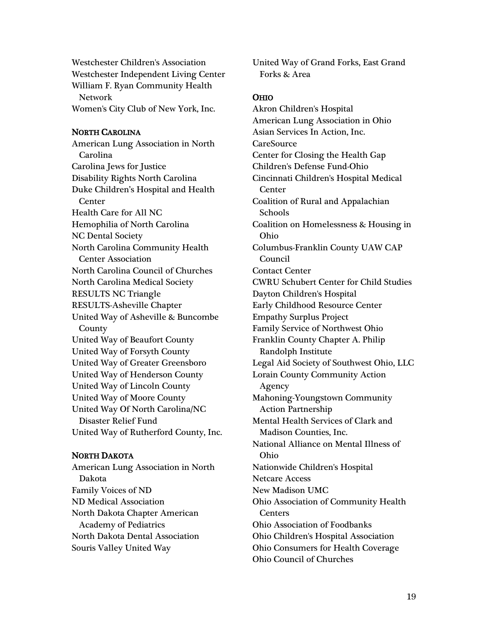Westchester Children's Association Westchester Independent Living Center William F. Ryan Community Health Network Women's City Club of New York, Inc.

#### NORTH CAROLINA

American Lung Association in North Carolina Carolina Jews for Justice Disability Rights North Carolina Duke Children's Hospital and Health **Center** Health Care for All NC Hemophilia of North Carolina NC Dental Society North Carolina Community Health Center Association North Carolina Council of Churches North Carolina Medical Society RESULTS NC Triangle RESULTS-Asheville Chapter United Way of Asheville & Buncombe County United Way of Beaufort County United Way of Forsyth County United Way of Greater Greensboro United Way of Henderson County United Way of Lincoln County United Way of Moore County United Way Of North Carolina/NC Disaster Relief Fund United Way of Rutherford County, Inc.

#### NORTH DAKOTA

American Lung Association in North Dakota Family Voices of ND ND Medical Association North Dakota Chapter American Academy of Pediatrics North Dakota Dental Association Souris Valley United Way

United Way of Grand Forks, East Grand Forks & Area

#### **OHIO**

Akron Children's Hospital American Lung Association in Ohio Asian Services In Action, Inc. **CareSource** Center for Closing the Health Gap Children's Defense Fund-Ohio Cincinnati Children's Hospital Medical **Center** Coalition of Rural and Appalachian Schools Coalition on Homelessness & Housing in Ohio Columbus-Franklin County UAW CAP Council Contact Center CWRU Schubert Center for Child Studies Dayton Children's Hospital Early Childhood Resource Center Empathy Surplus Project Family Service of Northwest Ohio Franklin County Chapter A. Philip Randolph Institute Legal Aid Society of Southwest Ohio, LLC Lorain County Community Action Agency Mahoning-Youngstown Community Action Partnership Mental Health Services of Clark and Madison Counties, Inc. National Alliance on Mental Illness of Ohio Nationwide Children's Hospital Netcare Access New Madison UMC Ohio Association of Community Health **Centers** Ohio Association of Foodbanks Ohio Children's Hospital Association Ohio Consumers for Health Coverage Ohio Council of Churches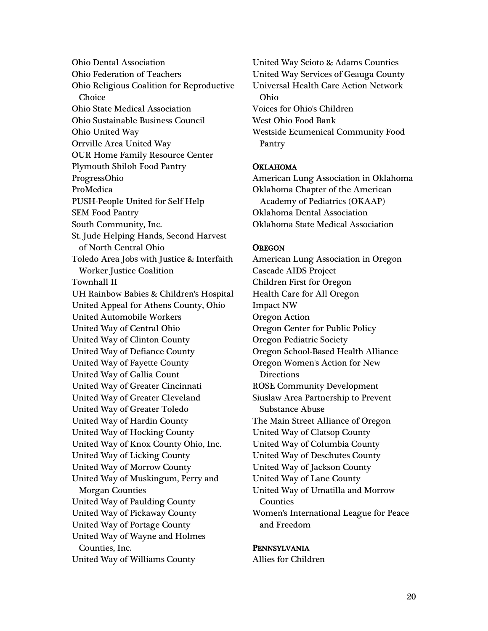Ohio Dental Association Ohio Federation of Teachers Ohio Religious Coalition for Reproductive **Choice** Ohio State Medical Association Ohio Sustainable Business Council Ohio United Way Orrville Area United Way OUR Home Family Resource Center Plymouth Shiloh Food Pantry ProgressOhio ProMedica PUSH-People United for Self Help SEM Food Pantry South Community, Inc. St. Jude Helping Hands, Second Harvest of North Central Ohio Toledo Area Jobs with Justice & Interfaith Worker Justice Coalition Townhall II UH Rainbow Babies & Children's Hospital United Appeal for Athens County, Ohio United Automobile Workers United Way of Central Ohio United Way of Clinton County United Way of Defiance County United Way of Fayette County United Way of Gallia Count United Way of Greater Cincinnati United Way of Greater Cleveland United Way of Greater Toledo United Way of Hardin County United Way of Hocking County United Way of Knox County Ohio, Inc. United Way of Licking County United Way of Morrow County United Way of Muskingum, Perry and Morgan Counties United Way of Paulding County United Way of Pickaway County United Way of Portage County United Way of Wayne and Holmes Counties, Inc. United Way of Williams County

United Way Scioto & Adams Counties United Way Services of Geauga County Universal Health Care Action Network Ohio Voices for Ohio's Children West Ohio Food Bank Westside Ecumenical Community Food Pantry

### **OKLAHOMA**

American Lung Association in Oklahoma Oklahoma Chapter of the American Academy of Pediatrics (OKAAP) Oklahoma Dental Association Oklahoma State Medical Association

#### **OREGON**

American Lung Association in Oregon Cascade AIDS Project Children First for Oregon Health Care for All Oregon Impact NW Oregon Action Oregon Center for Public Policy Oregon Pediatric Society Oregon School-Based Health Alliance Oregon Women's Action for New **Directions** ROSE Community Development Siuslaw Area Partnership to Prevent Substance Abuse The Main Street Alliance of Oregon United Way of Clatsop County United Way of Columbia County United Way of Deschutes County United Way of Jackson County United Way of Lane County United Way of Umatilla and Morrow Counties Women's International League for Peace and Freedom

## PENNSYLVANIA

Allies for Children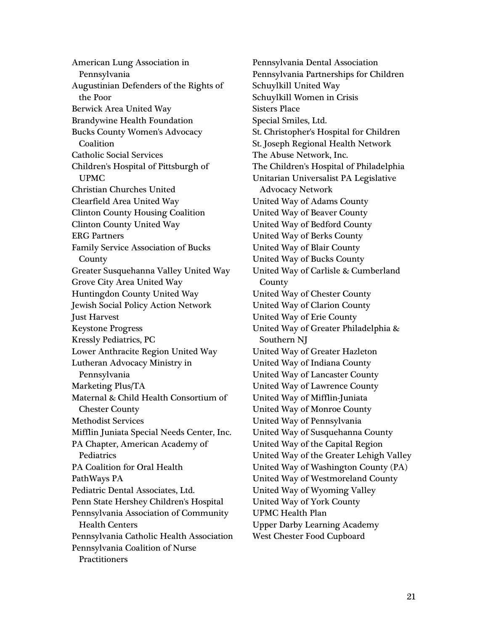American Lung Association in Pennsylvania Augustinian Defenders of the Rights of the Poor Berwick Area United Way Brandywine Health Foundation Bucks County Women's Advocacy Coalition Catholic Social Services Children's Hospital of Pittsburgh of UPMC Christian Churches United Clearfield Area United Way Clinton County Housing Coalition Clinton County United Way ERG Partners Family Service Association of Bucks County Greater Susquehanna Valley United Way Grove City Area United Way Huntingdon County United Way Jewish Social Policy Action Network Just Harvest Keystone Progress Kressly Pediatrics, PC Lower Anthracite Region United Way Lutheran Advocacy Ministry in Pennsylvania Marketing Plus/TA Maternal & Child Health Consortium of Chester County Methodist Services Mifflin Juniata Special Needs Center, Inc. PA Chapter, American Academy of Pediatrics PA Coalition for Oral Health PathWays PA Pediatric Dental Associates, Ltd. Penn State Hershey Children's Hospital Pennsylvania Association of Community Health Centers Pennsylvania Catholic Health Association Pennsylvania Coalition of Nurse **Practitioners** 

Pennsylvania Dental Association Pennsylvania Partnerships for Children Schuylkill United Way Schuylkill Women in Crisis Sisters Place Special Smiles, Ltd. St. Christopher's Hospital for Children St. Joseph Regional Health Network The Abuse Network, Inc. The Children's Hospital of Philadelphia Unitarian Universalist PA Legislative Advocacy Network United Way of Adams County United Way of Beaver County United Way of Bedford County United Way of Berks County United Way of Blair County United Way of Bucks County United Way of Carlisle & Cumberland County United Way of Chester County United Way of Clarion County United Way of Erie County United Way of Greater Philadelphia & Southern NJ United Way of Greater Hazleton United Way of Indiana County United Way of Lancaster County United Way of Lawrence County United Way of Mifflin-Juniata United Way of Monroe County United Way of Pennsylvania United Way of Susquehanna County United Way of the Capital Region United Way of the Greater Lehigh Valley United Way of Washington County (PA) United Way of Westmoreland County United Way of Wyoming Valley United Way of York County UPMC Health Plan Upper Darby Learning Academy West Chester Food Cupboard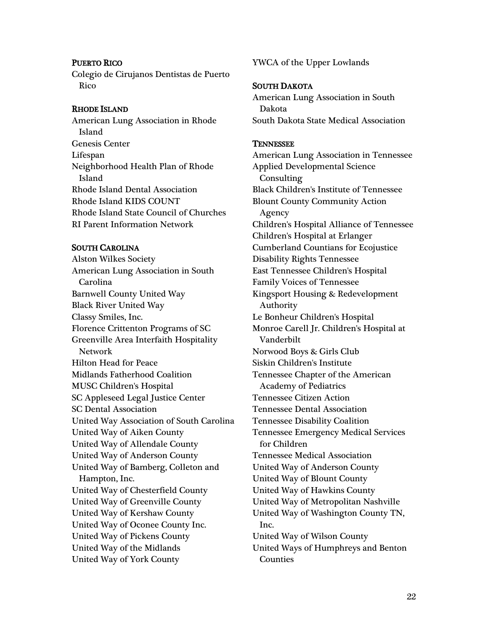### PUERTO RICO

Colegio de Cirujanos Dentistas de Puerto Rico

#### RHODE ISLAND

American Lung Association in Rhode Island Genesis Center Lifespan Neighborhood Health Plan of Rhode Island Rhode Island Dental Association Rhode Island KIDS COUNT Rhode Island State Council of Churches RI Parent Information Network

### SOUTH CAROLINA

Alston Wilkes Society American Lung Association in South Carolina Barnwell County United Way Black River United Way Classy Smiles, Inc. Florence Crittenton Programs of SC Greenville Area Interfaith Hospitality Network Hilton Head for Peace Midlands Fatherhood Coalition MUSC Children's Hospital SC Appleseed Legal Justice Center SC Dental Association United Way Association of South Carolina United Way of Aiken County United Way of Allendale County United Way of Anderson County United Way of Bamberg, Colleton and Hampton, Inc. United Way of Chesterfield County United Way of Greenville County United Way of Kershaw County United Way of Oconee County Inc. United Way of Pickens County United Way of the Midlands United Way of York County

YWCA of the Upper Lowlands

### SOUTH DAKOTA

American Lung Association in South Dakota South Dakota State Medical Association

#### **TENNESSEE**

American Lung Association in Tennessee Applied Developmental Science Consulting Black Children's Institute of Tennessee Blount County Community Action Agency Children's Hospital Alliance of Tennessee Children's Hospital at Erlanger Cumberland Countians for Ecojustice Disability Rights Tennessee East Tennessee Children's Hospital Family Voices of Tennessee Kingsport Housing & Redevelopment Authority Le Bonheur Children's Hospital Monroe Carell Jr. Children's Hospital at Vanderbilt Norwood Boys & Girls Club Siskin Children's Institute Tennessee Chapter of the American Academy of Pediatrics Tennessee Citizen Action Tennessee Dental Association Tennessee Disability Coalition Tennessee Emergency Medical Services for Children Tennessee Medical Association United Way of Anderson County United Way of Blount County United Way of Hawkins County United Way of Metropolitan Nashville United Way of Washington County TN, Inc. United Way of Wilson County United Ways of Humphreys and Benton Counties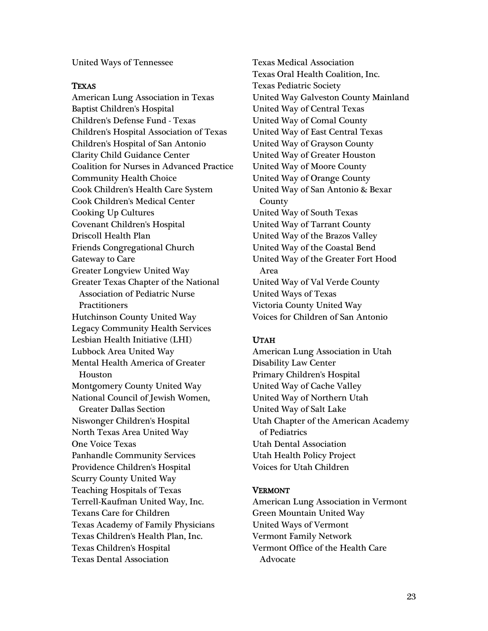United Ways of Tennessee

#### TEXAS

American Lung Association in Texas Baptist Children's Hospital Children's Defense Fund - Texas Children's Hospital Association of Texas Children's Hospital of San Antonio Clarity Child Guidance Center Coalition for Nurses in Advanced Practice Community Health Choice Cook Children's Health Care System Cook Children's Medical Center Cooking Up Cultures Covenant Children's Hospital Driscoll Health Plan Friends Congregational Church Gateway to Care Greater Longview United Way Greater Texas Chapter of the National Association of Pediatric Nurse **Practitioners** Hutchinson County United Way Legacy Community Health Services Lesbian Health Initiative (LHI) Lubbock Area United Way Mental Health America of Greater Houston Montgomery County United Way National Council of Jewish Women, Greater Dallas Section Niswonger Children's Hospital North Texas Area United Way One Voice Texas Panhandle Community Services Providence Children's Hospital Scurry County United Way Teaching Hospitals of Texas Terrell-Kaufman United Way, Inc. Texans Care for Children Texas Academy of Family Physicians Texas Children's Health Plan, Inc. Texas Children's Hospital Texas Dental Association

Texas Medical Association Texas Oral Health Coalition, Inc. Texas Pediatric Society United Way Galveston County Mainland United Way of Central Texas United Way of Comal County United Way of East Central Texas United Way of Grayson County United Way of Greater Houston United Way of Moore County United Way of Orange County United Way of San Antonio & Bexar County United Way of South Texas United Way of Tarrant County United Way of the Brazos Valley United Way of the Coastal Bend United Way of the Greater Fort Hood Area United Way of Val Verde County United Ways of Texas Victoria County United Way Voices for Children of San Antonio

### UTAH

American Lung Association in Utah Disability Law Center Primary Children's Hospital United Way of Cache Valley United Way of Northern Utah United Way of Salt Lake Utah Chapter of the American Academy of Pediatrics Utah Dental Association Utah Health Policy Project Voices for Utah Children

### VERMONT

American Lung Association in Vermont Green Mountain United Way United Ways of Vermont Vermont Family Network Vermont Office of the Health Care Advocate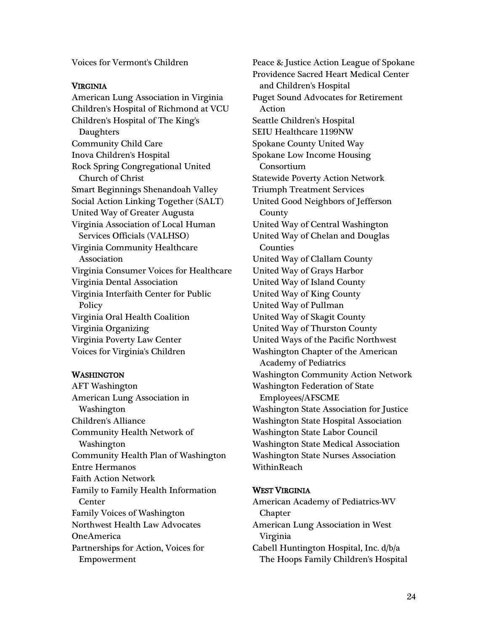Voices for Vermont's Children

### VIRGINIA

American Lung Association in Virginia Children's Hospital of Richmond at VCU Children's Hospital of The King's Daughters Community Child Care Inova Children's Hospital Rock Spring Congregational United Church of Christ Smart Beginnings Shenandoah Valley Social Action Linking Together (SALT) United Way of Greater Augusta Virginia Association of Local Human Services Officials (VALHSO) Virginia Community Healthcare Association Virginia Consumer Voices for Healthcare Virginia Dental Association Virginia Interfaith Center for Public Policy Virginia Oral Health Coalition Virginia Organizing Virginia Poverty Law Center Voices for Virginia's Children

## WASHINGTON

AFT Washington American Lung Association in Washington Children's Alliance Community Health Network of Washington Community Health Plan of Washington Entre Hermanos Faith Action Network Family to Family Health Information **Center** Family Voices of Washington Northwest Health Law Advocates OneAmerica Partnerships for Action, Voices for Empowerment

Peace & Justice Action League of Spokane Providence Sacred Heart Medical Center and Children's Hospital Puget Sound Advocates for Retirement Action Seattle Children's Hospital SEIU Healthcare 1199NW Spokane County United Way Spokane Low Income Housing Consortium Statewide Poverty Action Network Triumph Treatment Services United Good Neighbors of Jefferson County United Way of Central Washington United Way of Chelan and Douglas Counties United Way of Clallam County United Way of Grays Harbor United Way of Island County United Way of King County United Way of Pullman United Way of Skagit County United Way of Thurston County United Ways of the Pacific Northwest Washington Chapter of the American Academy of Pediatrics Washington Community Action Network Washington Federation of State Employees/AFSCME Washington State Association for Justice Washington State Hospital Association Washington State Labor Council Washington State Medical Association Washington State Nurses Association **WithinReach** 

## WEST VIRGINIA

American Academy of Pediatrics-WV Chapter American Lung Association in West Virginia Cabell Huntington Hospital, Inc. d/b/a The Hoops Family Children's Hospital